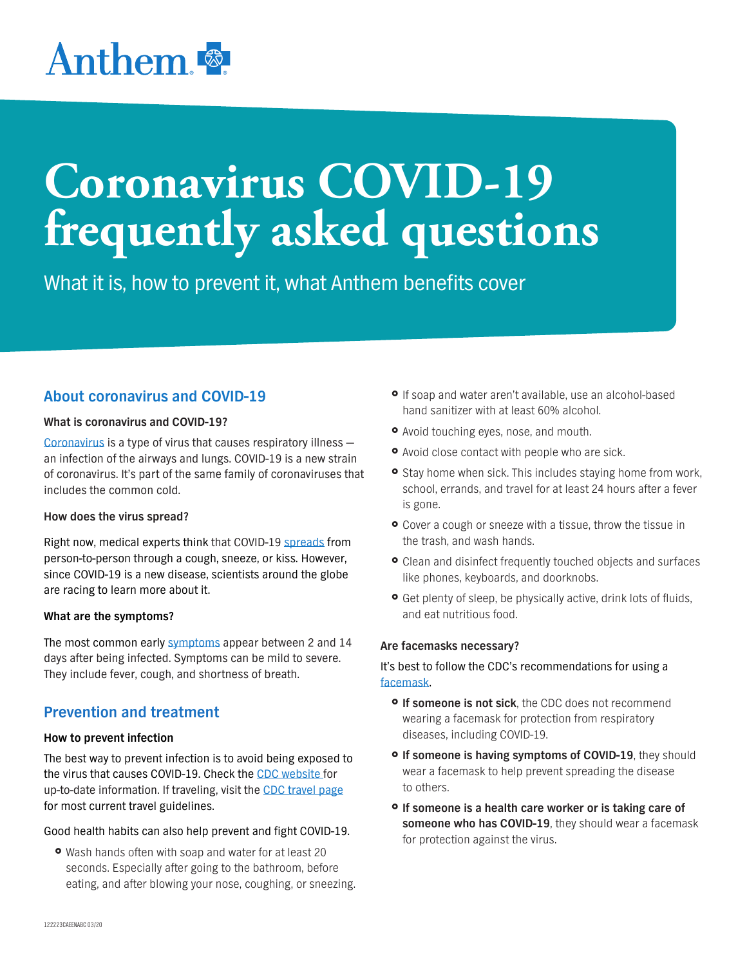## Anthem<sup>®</sup>

# **Coronavirus COVID-19 frequently asked questions**

What it is, how to prevent it, what Anthem benefits cover

## **About coronavirus and COVID-19**

#### **What is coronavirus and COVID-19?**

[Coronavirus](https://www.cdc.gov/coronavirus/index.html) is a type of virus that causes respiratory illness an infection of the airways and lungs. COVID-19 is a new strain of coronavirus. It's part of the same family of coronaviruses that includes the common cold.

#### **How does the virus spread?**

Right now, medical experts think that COVID-19 [spreads](https://www.cdc.gov/coronavirus/2019-ncov/about/transmission.html) from person-to-person through a cough, sneeze, or kiss. However, since COVID-19 is a new disease, scientists around the globe are racing to learn more about it.

#### **What are the symptoms?**

The most common early [symptoms](https://www.cdc.gov/coronavirus/2019-ncov/about/symptoms.html) appear between 2 and 14 days after being infected. Symptoms can be mild to severe. They include fever, cough, and shortness of breath.

## **Prevention and treatment**

#### **How to prevent infection**

The best way to prevent infection is to avoid being exposed to the virus that causes COVID-19. Check the [CDC website](https://www.cdc.gov/coronavirus/index.html) for up-to-date information. If traveling, visit the [CDC travel page](https://www.cdc.gov/coronavirus/2019-ncov/travelers/index.html) for most current travel guidelines.

#### Good health habits can also help prevent and fight COVID-19.

• Wash hands often with soap and water for at least 20 seconds. Especially after going to the bathroom, before eating, and after blowing your nose, coughing, or sneezing.

- **•** If soap and water aren't available, use an alcohol-based hand sanitizer with at least 60% alcohol.
- Avoid touching eyes, nose, and mouth.
- Avoid close contact with people who are sick.
- **•** Stay home when sick. This includes staying home from work, school, errands, and travel for at least 24 hours after a fever is gone.
- Cover a cough or sneeze with a tissue, throw the tissue in the trash, and wash hands.
- **•** Clean and disinfect frequently touched objects and surfaces like phones, keyboards, and doorknobs.
- **•** Get plenty of sleep, be physically active, drink lots of fluids, and eat nutritious food.

#### **Are facemasks necessary?**

It's best to follow the CDC's recommendations for using a [facemask.](https://www.cdc.gov/coronavirus/2019-ncov/hcp/guidance-prevent-spread.html)

- **o** If someone is not sick, the CDC does not recommend wearing a facemask for protection from respiratory diseases, including COVID-19.
- **<sup>o</sup>** If someone is having symptoms of COVID-19, they should wear a facemask to help prevent spreading the disease to others.
- } **If someone is a health care worker or is taking care of someone who has COVID-19**, they should wear a facemask for protection against the virus.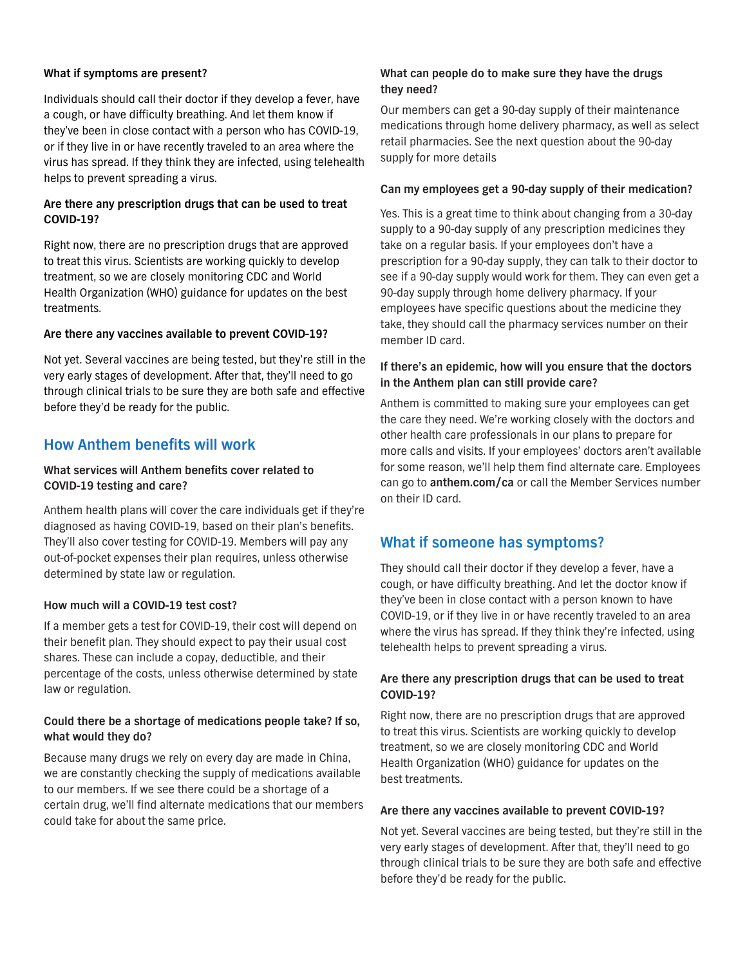#### **What if symptoms are present?**

Individuals should call their doctor if they develop a fever, have a cough, or have difficulty breathing. And let them know if they've been in close contact with a person who has COVID-19, or if they live in or have recently traveled to an area where the virus has spread. If they think they are infected, using telehealth helps to prevent spreading a virus.

#### **Are there any prescription drugs that can be used to treat COVID-19?**

Right now, there are no prescription drugs that are approved to treat this virus. Scientists are working quickly to develop treatment, so we are closely monitoring CDC and World Health Organization (WHO) guidance for updates on the best treatments.

#### **Are there any vaccines available to prevent COVID-19?**

Not yet. Several vaccines are being tested, but they're still in the very early stages of development. After that, they'll need to go through clinical trials to be sure they are both safe and effective before they'd be ready for the public.

## **How Anthem benefits will work**

#### **What services will Anthem benefits cover related to COVID-19 testing and care?**

Anthem health plans will cover the care individuals get if they're diagnosed as having COVID-19, based on their plan's benefits. They'll also cover testing for COVID-19. Members will pay any out-of-pocket expenses their plan requires, unless otherwise determined by state law or regulation.

#### **How much will a COVID-19 test cost?**

If a member gets a test for COVID-19, their cost will depend on their benefit plan. They should expect to pay their usual cost shares. These can include a copay, deductible, and their percentage of the costs, unless otherwise determined by state law or regulation.

#### **Could there be a shortage of medications people take? If so, what would they do?**

Because many drugs we rely on every day are made in China, we are constantly checking the supply of medications available to our members. If we see there could be a shortage of a certain drug, we'll find alternate medications that our members could take for about the same price.

#### **What can people do to make sure they have the drugs they need?**

Our members can get a 90-day supply of their maintenance medications through home delivery pharmacy, as well as select retail pharmacies. See the next question about the 90-day supply for more details

#### **Can my employees get a 90-day supply of their medication?**

Yes. This is a great time to think about changing from a 30-day supply to a 90-day supply of any prescription medicines they take on a regular basis. If your employees don't have a prescription for a 90-day supply, they can talk to their doctor to see if a 90-day supply would work for them. They can even get a 90-day supply through home delivery pharmacy. If your employees have specific questions about the medicine they take, they should call the pharmacy services number on their member ID card.

#### **If there's an epidemic, how will you ensure that the doctors in the Anthem plan can still provide care?**

Anthem is committed to making sure your employees can get the care they need. We're working closely with the doctors and other health care professionals in our plans to prepare for more calls and visits. If your employees' doctors aren't available for some reason, we'll help them find alternate care. Employees can go to **anthem.com/ca** or call the Member Services number on their ID card.

### **What if someone has symptoms?**

They should call their doctor if they develop a fever, have a cough, or have difficulty breathing. And let the doctor know if they've been in close contact with a person known to have COVID-19, or if they live in or have recently traveled to an area where the virus has spread. If they think they're infected, using telehealth helps to prevent spreading a virus.

#### **Are there any prescription drugs that can be used to treat COVID-19?**

Right now, there are no prescription drugs that are approved to treat this virus. Scientists are working quickly to develop treatment, so we are closely monitoring CDC and World Health Organization (WHO) guidance for updates on the best treatments.

#### **Are there any vaccines available to prevent COVID-19?**

Not yet. Several vaccines are being tested, but they're still in the very early stages of development. After that, they'll need to go through clinical trials to be sure they are both safe and effective before they'd be ready for the public.